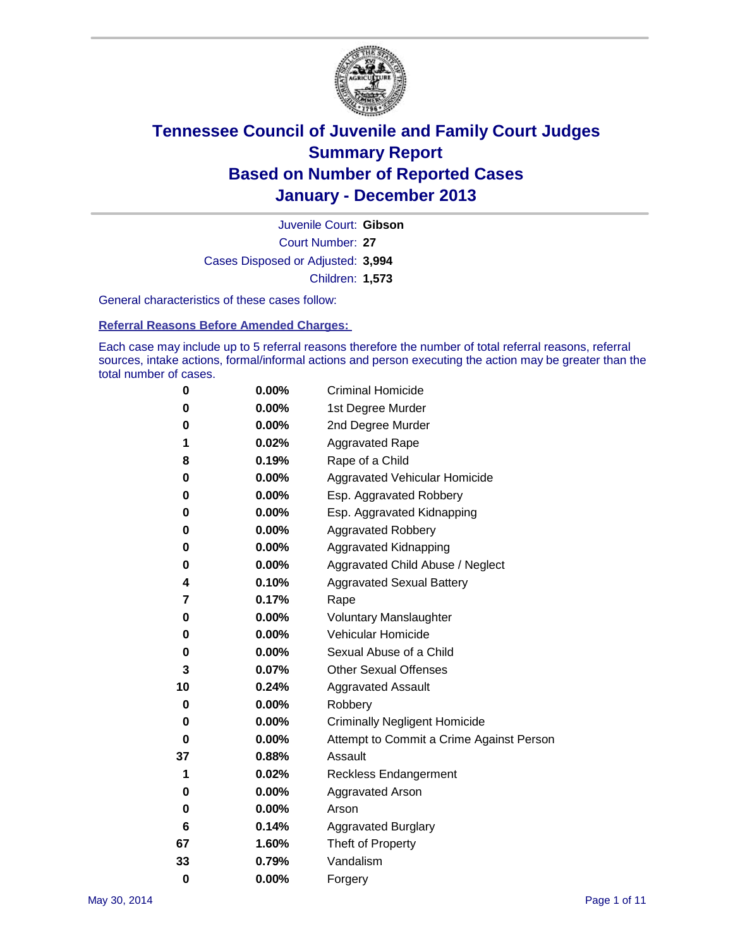

Court Number: **27** Juvenile Court: **Gibson** Cases Disposed or Adjusted: **3,994** Children: **1,573**

General characteristics of these cases follow:

**Referral Reasons Before Amended Charges:** 

Each case may include up to 5 referral reasons therefore the number of total referral reasons, referral sources, intake actions, formal/informal actions and person executing the action may be greater than the total number of cases.

| 0        | 0.00%    | <b>Criminal Homicide</b>                 |
|----------|----------|------------------------------------------|
| 0        | 0.00%    | 1st Degree Murder                        |
| 0        | 0.00%    | 2nd Degree Murder                        |
| 1        | 0.02%    | <b>Aggravated Rape</b>                   |
| 8        | 0.19%    | Rape of a Child                          |
| 0        | 0.00%    | <b>Aggravated Vehicular Homicide</b>     |
| 0        | $0.00\%$ | Esp. Aggravated Robbery                  |
| 0        | 0.00%    | Esp. Aggravated Kidnapping               |
| 0        | 0.00%    | <b>Aggravated Robbery</b>                |
| 0        | 0.00%    | Aggravated Kidnapping                    |
| 0        | 0.00%    | Aggravated Child Abuse / Neglect         |
| 4        | 0.10%    | <b>Aggravated Sexual Battery</b>         |
| 7        | 0.17%    | Rape                                     |
| 0        | 0.00%    | <b>Voluntary Manslaughter</b>            |
| 0        | 0.00%    | Vehicular Homicide                       |
| 0        | 0.00%    | Sexual Abuse of a Child                  |
| 3        | 0.07%    | <b>Other Sexual Offenses</b>             |
| 10       | 0.24%    | <b>Aggravated Assault</b>                |
| 0        | 0.00%    | Robbery                                  |
| 0        | 0.00%    | <b>Criminally Negligent Homicide</b>     |
| 0        | 0.00%    | Attempt to Commit a Crime Against Person |
| 37       | 0.88%    | Assault                                  |
| 1        | 0.02%    | <b>Reckless Endangerment</b>             |
| 0        | 0.00%    | <b>Aggravated Arson</b>                  |
| 0        | 0.00%    | Arson                                    |
| 6        | 0.14%    | <b>Aggravated Burglary</b>               |
| 67       | 1.60%    | Theft of Property                        |
| 33       | 0.79%    | Vandalism                                |
| $\bf{0}$ | 0.00%    | Forgery                                  |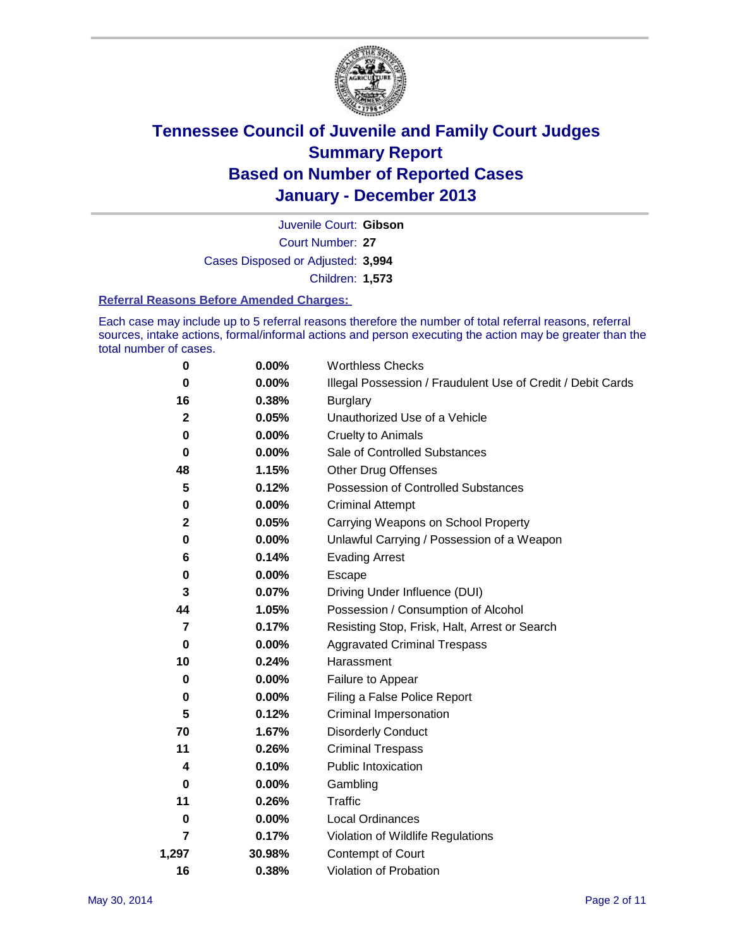

Court Number: **27** Juvenile Court: **Gibson** Cases Disposed or Adjusted: **3,994** Children: **1,573**

#### **Referral Reasons Before Amended Charges:**

Each case may include up to 5 referral reasons therefore the number of total referral reasons, referral sources, intake actions, formal/informal actions and person executing the action may be greater than the total number of cases.

| 0            | 0.00%    | <b>Worthless Checks</b>                                     |
|--------------|----------|-------------------------------------------------------------|
| 0            | 0.00%    | Illegal Possession / Fraudulent Use of Credit / Debit Cards |
| 16           | 0.38%    | <b>Burglary</b>                                             |
| $\mathbf{2}$ | 0.05%    | Unauthorized Use of a Vehicle                               |
| 0            | 0.00%    | <b>Cruelty to Animals</b>                                   |
| 0            | 0.00%    | Sale of Controlled Substances                               |
| 48           | 1.15%    | <b>Other Drug Offenses</b>                                  |
| 5            | 0.12%    | Possession of Controlled Substances                         |
| 0            | $0.00\%$ | <b>Criminal Attempt</b>                                     |
| 2            | 0.05%    | Carrying Weapons on School Property                         |
| 0            | 0.00%    | Unlawful Carrying / Possession of a Weapon                  |
| 6            | 0.14%    | <b>Evading Arrest</b>                                       |
| 0            | 0.00%    | Escape                                                      |
| 3            | 0.07%    | Driving Under Influence (DUI)                               |
| 44           | 1.05%    | Possession / Consumption of Alcohol                         |
| 7            | 0.17%    | Resisting Stop, Frisk, Halt, Arrest or Search               |
| 0            | $0.00\%$ | <b>Aggravated Criminal Trespass</b>                         |
| 10           | 0.24%    | Harassment                                                  |
| 0            | 0.00%    | Failure to Appear                                           |
| 0            | 0.00%    | Filing a False Police Report                                |
| 5            | 0.12%    | Criminal Impersonation                                      |
| 70           | 1.67%    | <b>Disorderly Conduct</b>                                   |
| 11           | 0.26%    | <b>Criminal Trespass</b>                                    |
| 4            | 0.10%    | <b>Public Intoxication</b>                                  |
| 0            | 0.00%    | Gambling                                                    |
| 11           | 0.26%    | Traffic                                                     |
| 0            | $0.00\%$ | <b>Local Ordinances</b>                                     |
| 7            | 0.17%    | Violation of Wildlife Regulations                           |
| 1,297        | 30.98%   | Contempt of Court                                           |
| 16           | 0.38%    | Violation of Probation                                      |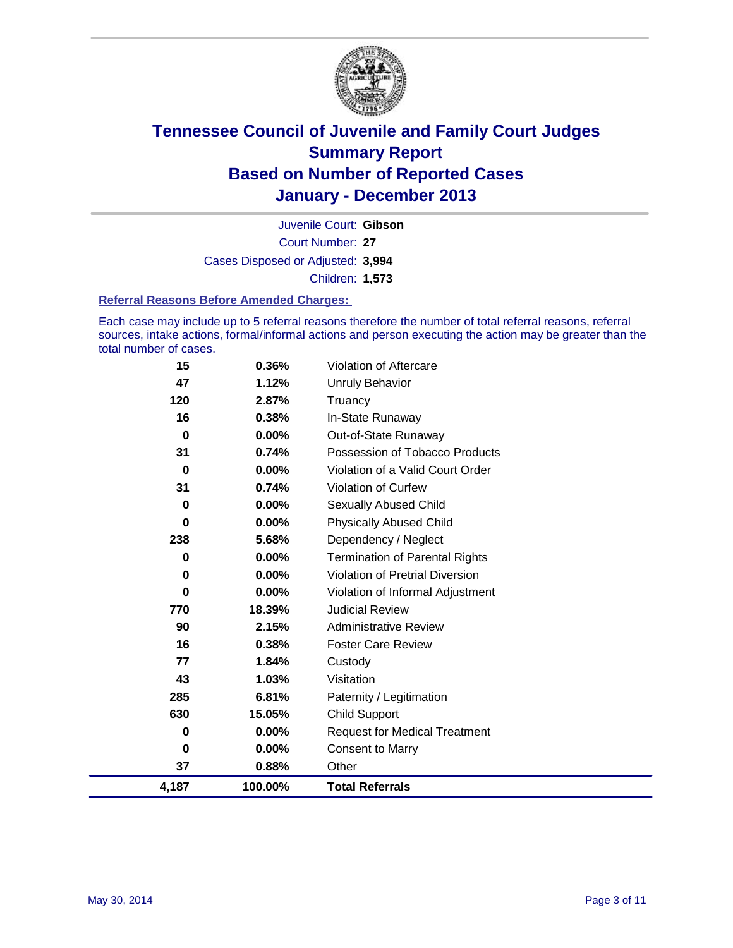

Court Number: **27** Juvenile Court: **Gibson** Cases Disposed or Adjusted: **3,994** Children: **1,573**

#### **Referral Reasons Before Amended Charges:**

Each case may include up to 5 referral reasons therefore the number of total referral reasons, referral sources, intake actions, formal/informal actions and person executing the action may be greater than the total number of cases.

| 4,187    | 100.00%  | <b>Total Referrals</b>                 |
|----------|----------|----------------------------------------|
| 37       | 0.88%    | Other                                  |
| 0        | $0.00\%$ | <b>Consent to Marry</b>                |
| 0        | 0.00%    | <b>Request for Medical Treatment</b>   |
| 630      | 15.05%   | <b>Child Support</b>                   |
| 285      | 6.81%    | Paternity / Legitimation               |
| 43       | 1.03%    | Visitation                             |
| 77       | 1.84%    | Custody                                |
| 16       | 0.38%    | <b>Foster Care Review</b>              |
| 90       | 2.15%    | <b>Administrative Review</b>           |
| 770      | 18.39%   | <b>Judicial Review</b>                 |
| 0        | 0.00%    | Violation of Informal Adjustment       |
| 0        | $0.00\%$ | <b>Violation of Pretrial Diversion</b> |
| 0        | $0.00\%$ | <b>Termination of Parental Rights</b>  |
| 238      | 5.68%    | Dependency / Neglect                   |
| 0        | $0.00\%$ | <b>Physically Abused Child</b>         |
| 0        | 0.00%    | Sexually Abused Child                  |
| 31       | 0.74%    | <b>Violation of Curfew</b>             |
| $\bf{0}$ | 0.00%    | Violation of a Valid Court Order       |
| 31       | 0.74%    | Possession of Tobacco Products         |
| 0        | $0.00\%$ | Out-of-State Runaway                   |
| 16       | 0.38%    | In-State Runaway                       |
| 120      | 2.87%    | Truancy                                |
| 47       | 1.12%    | Unruly Behavior                        |
| 15       | 0.36%    | Violation of Aftercare                 |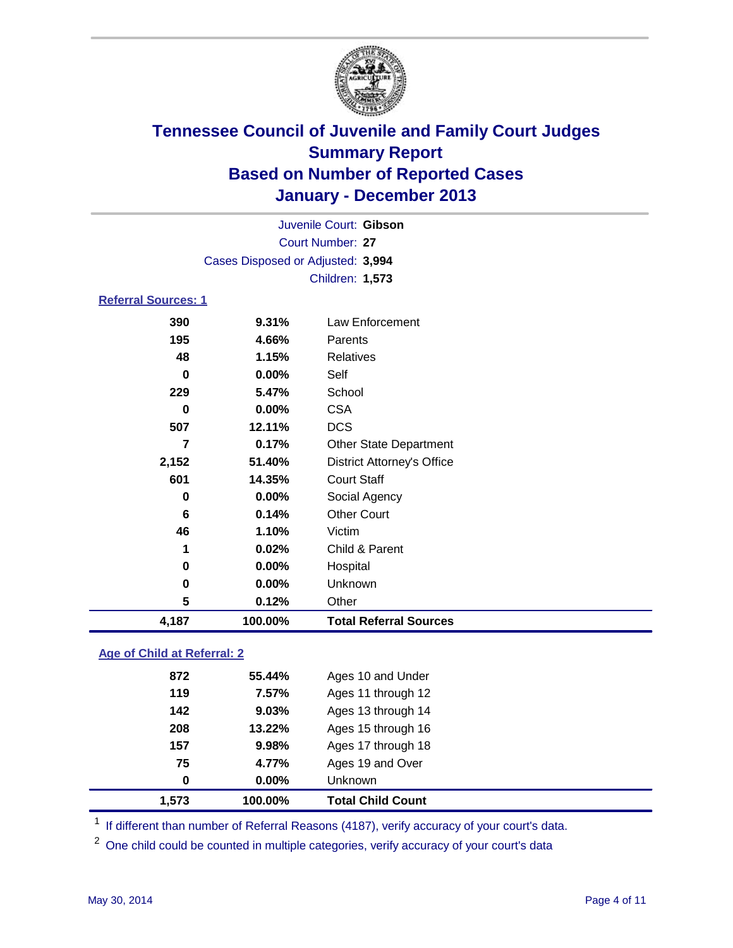

|                             |                                   | Juvenile Court: Gibson            |  |  |  |
|-----------------------------|-----------------------------------|-----------------------------------|--|--|--|
| Court Number: 27            |                                   |                                   |  |  |  |
|                             | Cases Disposed or Adjusted: 3,994 |                                   |  |  |  |
|                             |                                   | Children: 1,573                   |  |  |  |
| <b>Referral Sources: 1</b>  |                                   |                                   |  |  |  |
| 390                         | 9.31%                             | Law Enforcement                   |  |  |  |
| 195                         | 4.66%                             | Parents                           |  |  |  |
| 48                          | 1.15%                             | <b>Relatives</b>                  |  |  |  |
| 0                           | 0.00%                             | Self                              |  |  |  |
| 229                         | 5.47%                             | School                            |  |  |  |
| 0                           | 0.00%                             | <b>CSA</b>                        |  |  |  |
| 507                         | 12.11%                            | <b>DCS</b>                        |  |  |  |
| 7                           | 0.17%                             | <b>Other State Department</b>     |  |  |  |
| 2,152                       | 51.40%                            | <b>District Attorney's Office</b> |  |  |  |
| 601                         | 14.35%                            | <b>Court Staff</b>                |  |  |  |
| 0                           | 0.00%                             | Social Agency                     |  |  |  |
| 6                           | 0.14%                             | <b>Other Court</b>                |  |  |  |
| 46                          | 1.10%                             | Victim                            |  |  |  |
| 1                           | 0.02%                             | Child & Parent                    |  |  |  |
| 0                           | 0.00%                             | Hospital                          |  |  |  |
| 0                           | 0.00%                             | Unknown                           |  |  |  |
| 5                           | 0.12%                             | Other                             |  |  |  |
| 4,187                       | 100.00%                           | <b>Total Referral Sources</b>     |  |  |  |
| Age of Child at Referral: 2 |                                   |                                   |  |  |  |
| 872                         | 55 1101                           | Age 10 and Under                  |  |  |  |

| 1.573 |     | 100.00%  | <b>Total Child Count</b> |
|-------|-----|----------|--------------------------|
|       | 0   | $0.00\%$ | Unknown                  |
|       | 75  | 4.77%    | Ages 19 and Over         |
| 157   |     | 9.98%    | Ages 17 through 18       |
| 208   |     | 13.22%   | Ages 15 through 16       |
|       | 142 | $9.03\%$ | Ages 13 through 14       |
| 119   |     | 7.57%    | Ages 11 through 12       |
| 872   |     | 55.44%   | Ages 10 and Under        |
|       |     |          |                          |

<sup>1</sup> If different than number of Referral Reasons (4187), verify accuracy of your court's data.

<sup>2</sup> One child could be counted in multiple categories, verify accuracy of your court's data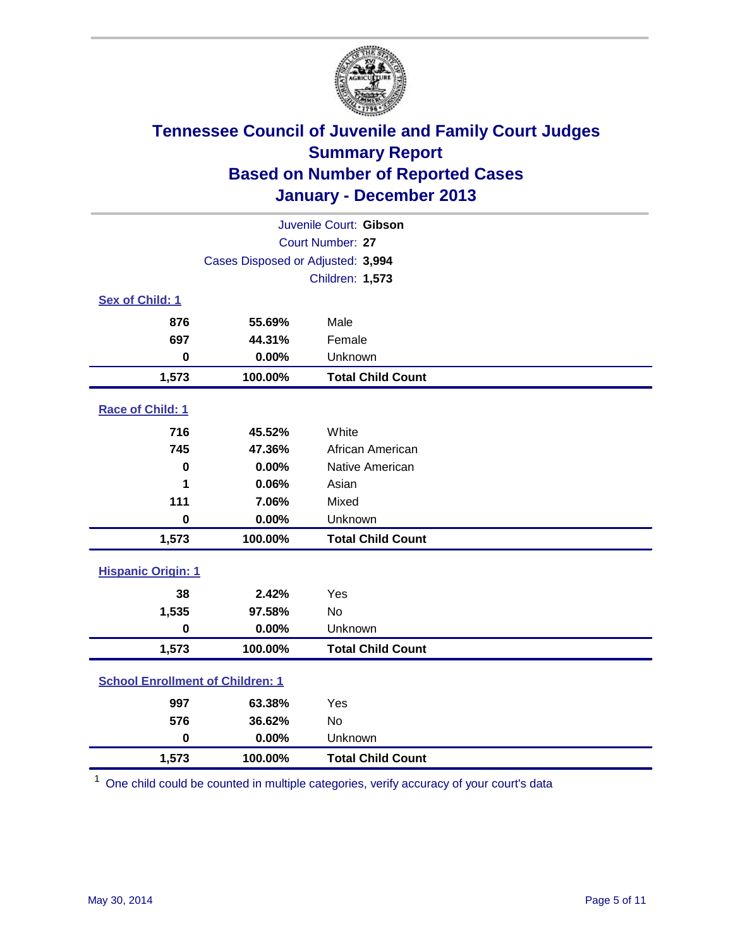

|                                         | Juvenile Court: Gibson            |                          |  |  |  |
|-----------------------------------------|-----------------------------------|--------------------------|--|--|--|
| Court Number: 27                        |                                   |                          |  |  |  |
|                                         | Cases Disposed or Adjusted: 3,994 |                          |  |  |  |
|                                         |                                   | Children: 1,573          |  |  |  |
| Sex of Child: 1                         |                                   |                          |  |  |  |
| 876                                     | 55.69%                            | Male                     |  |  |  |
| 697                                     | 44.31%                            | Female                   |  |  |  |
| $\bf{0}$                                | 0.00%                             | Unknown                  |  |  |  |
| 1,573                                   | 100.00%                           | <b>Total Child Count</b> |  |  |  |
| Race of Child: 1                        |                                   |                          |  |  |  |
| 716                                     | 45.52%                            | White                    |  |  |  |
| 745                                     | 47.36%                            | African American         |  |  |  |
| $\mathbf 0$                             | 0.00%                             | Native American          |  |  |  |
| 1                                       | 0.06%                             | Asian                    |  |  |  |
| 111                                     | 7.06%                             | Mixed                    |  |  |  |
| $\bf{0}$                                | 0.00%                             | Unknown                  |  |  |  |
| 1,573                                   | 100.00%                           | <b>Total Child Count</b> |  |  |  |
| <b>Hispanic Origin: 1</b>               |                                   |                          |  |  |  |
| 38                                      | 2.42%                             | Yes                      |  |  |  |
| 1,535                                   | 97.58%                            | <b>No</b>                |  |  |  |
| $\mathbf 0$                             | 0.00%                             | Unknown                  |  |  |  |
| 1,573                                   | 100.00%                           | <b>Total Child Count</b> |  |  |  |
| <b>School Enrollment of Children: 1</b> |                                   |                          |  |  |  |
| 997                                     | 63.38%                            | Yes                      |  |  |  |
| 576                                     | 36.62%                            | <b>No</b>                |  |  |  |
| $\mathbf 0$                             | 0.00%                             | Unknown                  |  |  |  |
| 1,573                                   | 100.00%                           | <b>Total Child Count</b> |  |  |  |

 $1$  One child could be counted in multiple categories, verify accuracy of your court's data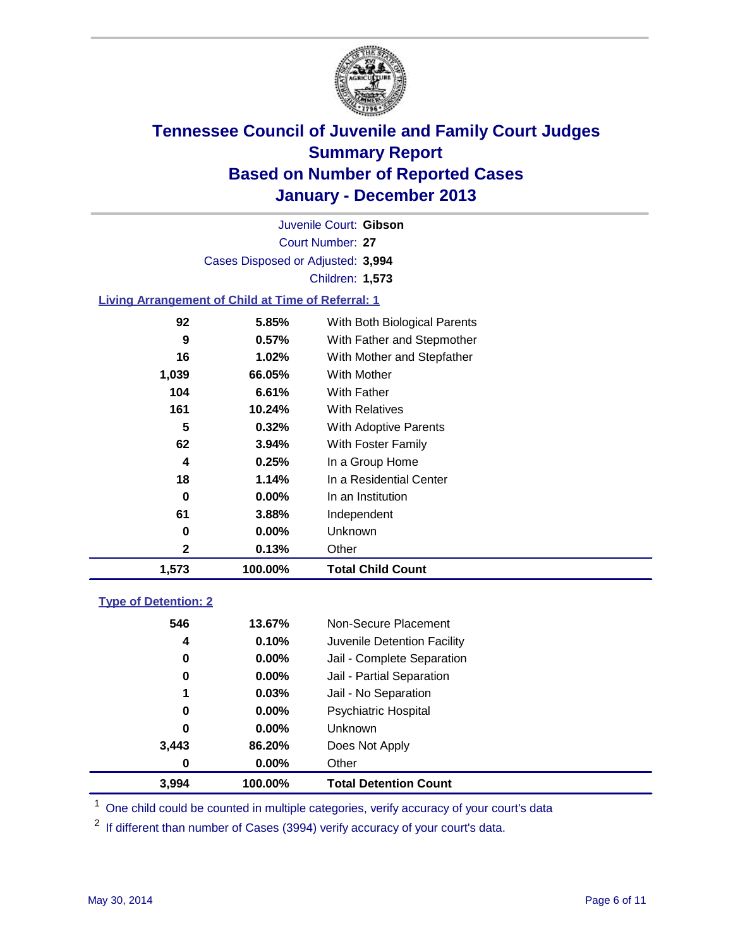

Court Number: **27** Juvenile Court: **Gibson** Cases Disposed or Adjusted: **3,994** Children: **1,573**

### **Living Arrangement of Child at Time of Referral: 1**

| 1,573 | 100.00%  | <b>Total Child Count</b>     |
|-------|----------|------------------------------|
| 2     | 0.13%    | Other                        |
| 0     | $0.00\%$ | Unknown                      |
| 61    | 3.88%    | Independent                  |
| 0     | $0.00\%$ | In an Institution            |
| 18    | 1.14%    | In a Residential Center      |
| 4     | 0.25%    | In a Group Home              |
| 62    | $3.94\%$ | With Foster Family           |
| 5     | 0.32%    | <b>With Adoptive Parents</b> |
| 161   | 10.24%   | <b>With Relatives</b>        |
| 104   | 6.61%    | With Father                  |
| 1,039 | 66.05%   | With Mother                  |
| 16    | 1.02%    | With Mother and Stepfather   |
| 9     | 0.57%    | With Father and Stepmother   |
| 92    | 5.85%    | With Both Biological Parents |
|       |          |                              |

#### **Type of Detention: 2**

| 3.994 | 100.00%  | <b>Total Detention Count</b> |
|-------|----------|------------------------------|
| 0     | $0.00\%$ | Other                        |
| 3,443 | 86.20%   | Does Not Apply               |
| 0     | $0.00\%$ | <b>Unknown</b>               |
| 0     | $0.00\%$ | <b>Psychiatric Hospital</b>  |
| 1     | 0.03%    | Jail - No Separation         |
| 0     | $0.00\%$ | Jail - Partial Separation    |
| 0     | 0.00%    | Jail - Complete Separation   |
| 4     | 0.10%    | Juvenile Detention Facility  |
| 546   | 13.67%   | Non-Secure Placement         |
|       |          |                              |

<sup>1</sup> One child could be counted in multiple categories, verify accuracy of your court's data

<sup>2</sup> If different than number of Cases (3994) verify accuracy of your court's data.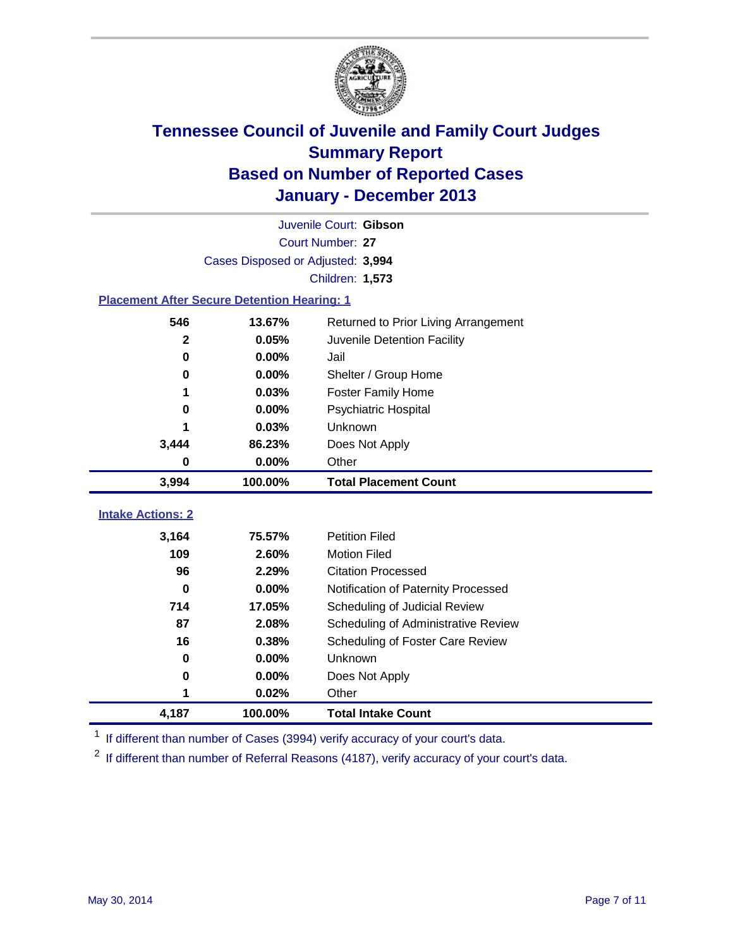

|                                                    |         | Juvenile Court: Gibson               |  |  |  |
|----------------------------------------------------|---------|--------------------------------------|--|--|--|
| Court Number: 27                                   |         |                                      |  |  |  |
| Cases Disposed or Adjusted: 3,994                  |         |                                      |  |  |  |
|                                                    |         | Children: 1,573                      |  |  |  |
| <b>Placement After Secure Detention Hearing: 1</b> |         |                                      |  |  |  |
| 546                                                | 13.67%  | Returned to Prior Living Arrangement |  |  |  |
| $\mathbf{2}$                                       | 0.05%   | Juvenile Detention Facility          |  |  |  |
| 0                                                  | 0.00%   | Jail                                 |  |  |  |
| 0                                                  | 0.00%   | Shelter / Group Home                 |  |  |  |
| 1                                                  | 0.03%   | <b>Foster Family Home</b>            |  |  |  |
| 0                                                  | 0.00%   | <b>Psychiatric Hospital</b>          |  |  |  |
|                                                    | 0.03%   | Unknown                              |  |  |  |
| 3,444                                              | 86.23%  | Does Not Apply                       |  |  |  |
| 0                                                  | 0.00%   | Other                                |  |  |  |
| 3,994                                              | 100.00% | <b>Total Placement Count</b>         |  |  |  |
|                                                    |         |                                      |  |  |  |
| <b>Intake Actions: 2</b>                           |         |                                      |  |  |  |
| 3,164                                              | 75.57%  | <b>Petition Filed</b>                |  |  |  |
| 109                                                | 2.60%   | <b>Motion Filed</b>                  |  |  |  |
| 96                                                 | 2.29%   | <b>Citation Processed</b>            |  |  |  |
| 0                                                  | 0.00%   | Notification of Paternity Processed  |  |  |  |
| 714                                                | 17.05%  | Scheduling of Judicial Review        |  |  |  |
| 87                                                 | 2.08%   | Scheduling of Administrative Review  |  |  |  |
| 16                                                 | 0.38%   | Scheduling of Foster Care Review     |  |  |  |
| $\bf{0}$                                           | 0.00%   | Unknown                              |  |  |  |
| 0                                                  | 0.00%   | Does Not Apply                       |  |  |  |
| 1                                                  | 0.02%   | Other                                |  |  |  |
| 4,187                                              | 100.00% | <b>Total Intake Count</b>            |  |  |  |

<sup>1</sup> If different than number of Cases (3994) verify accuracy of your court's data.

 $2$  If different than number of Referral Reasons (4187), verify accuracy of your court's data.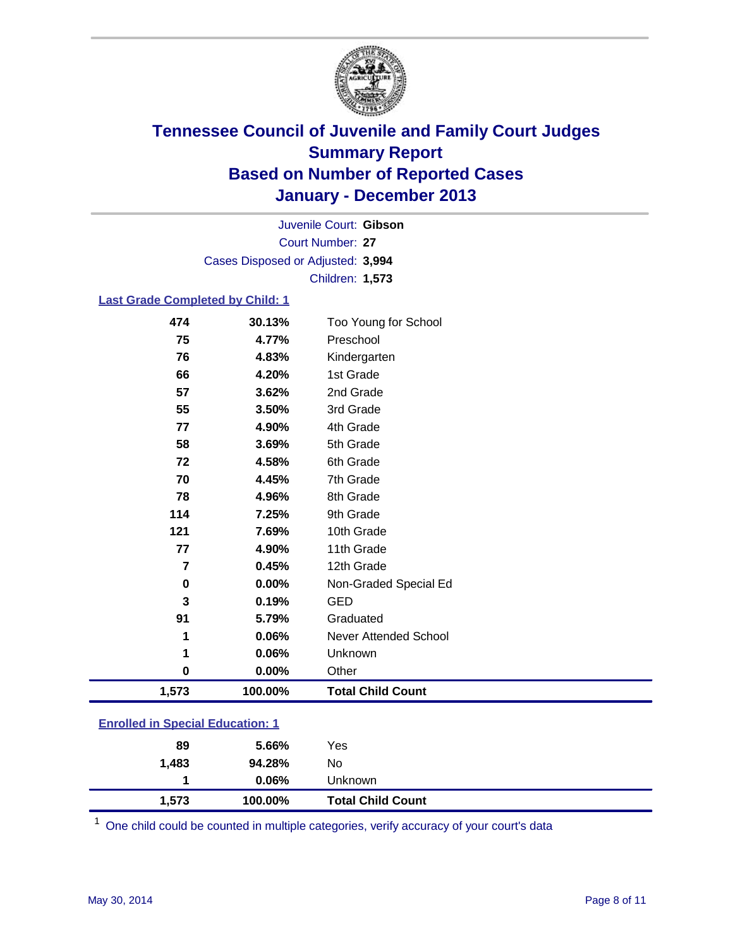

Court Number: **27** Juvenile Court: **Gibson** Cases Disposed or Adjusted: **3,994** Children: **1,573**

#### **Last Grade Completed by Child: 1**

| 474            | 30.13%  | Too Young for School     |
|----------------|---------|--------------------------|
| 75             | 4.77%   | Preschool                |
| 76             | 4.83%   | Kindergarten             |
| 66             | 4.20%   | 1st Grade                |
| 57             | 3.62%   | 2nd Grade                |
| 55             | 3.50%   | 3rd Grade                |
| 77             | 4.90%   | 4th Grade                |
| 58             | 3.69%   | 5th Grade                |
| 72             | 4.58%   | 6th Grade                |
| 70             | 4.45%   | 7th Grade                |
| 78             | 4.96%   | 8th Grade                |
| 114            | 7.25%   | 9th Grade                |
| 121            | 7.69%   | 10th Grade               |
| 77             | 4.90%   | 11th Grade               |
| $\overline{7}$ | 0.45%   | 12th Grade               |
| $\bf{0}$       | 0.00%   | Non-Graded Special Ed    |
| 3              | 0.19%   | <b>GED</b>               |
| 91             | 5.79%   | Graduated                |
| 1              | 0.06%   | Never Attended School    |
| 1              | 0.06%   | Unknown                  |
| $\bf{0}$       | 0.00%   | Other                    |
| 1,573          | 100.00% | <b>Total Child Count</b> |

| <b>Enrolled in Special Education: 1</b> |  |
|-----------------------------------------|--|
|                                         |  |

| 89<br>1.483 | 5.66%<br>94.28% | Yes<br>No                |  |
|-------------|-----------------|--------------------------|--|
|             | $0.06\%$        | <b>Unknown</b>           |  |
| 1.573       | 100.00%         | <b>Total Child Count</b> |  |

One child could be counted in multiple categories, verify accuracy of your court's data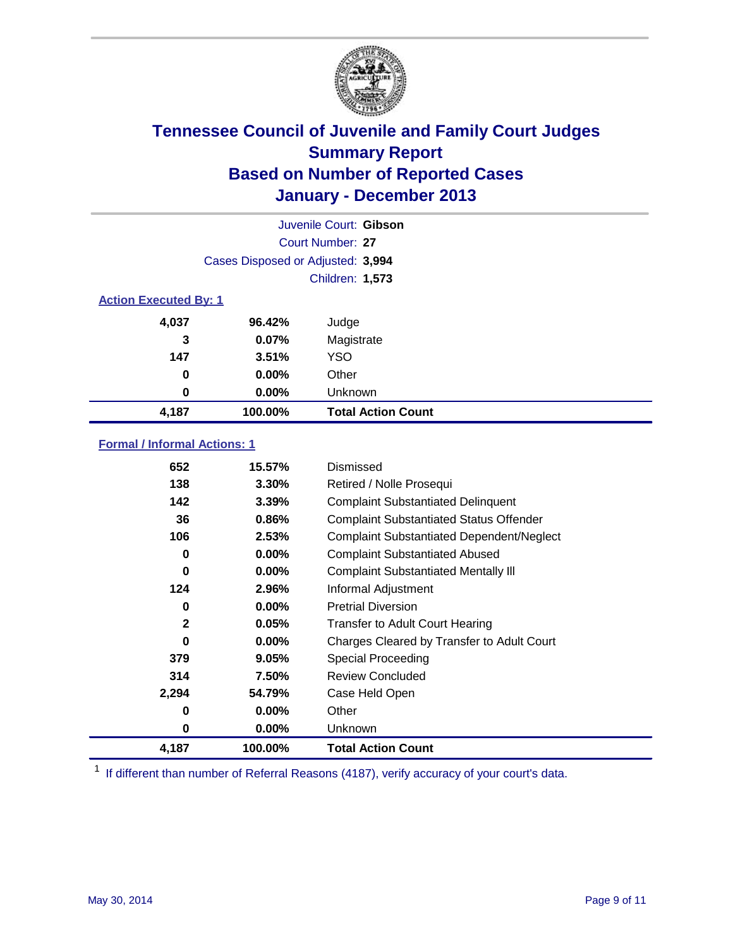

|                              |                                   | Juvenile Court: Gibson    |  |  |  |
|------------------------------|-----------------------------------|---------------------------|--|--|--|
|                              | Court Number: 27                  |                           |  |  |  |
|                              | Cases Disposed or Adjusted: 3,994 |                           |  |  |  |
|                              |                                   | Children: 1,573           |  |  |  |
| <b>Action Executed By: 1</b> |                                   |                           |  |  |  |
| 4,037                        | 96.42%                            | Judge                     |  |  |  |
| 3                            | 0.07%                             | Magistrate                |  |  |  |
| 147                          | 3.51%                             | <b>YSO</b>                |  |  |  |
| 0                            | $0.00\%$                          | Other                     |  |  |  |
| 0                            | $0.00\%$                          | Unknown                   |  |  |  |
| 4,187                        | 100.00%                           | <b>Total Action Count</b> |  |  |  |

### **Formal / Informal Actions: 1**

| 652          | 15.57%   | Dismissed                                        |
|--------------|----------|--------------------------------------------------|
| 138          | $3.30\%$ | Retired / Nolle Prosequi                         |
| 142          | 3.39%    | <b>Complaint Substantiated Delinquent</b>        |
| 36           | $0.86\%$ | <b>Complaint Substantiated Status Offender</b>   |
| 106          | 2.53%    | <b>Complaint Substantiated Dependent/Neglect</b> |
| 0            | $0.00\%$ | <b>Complaint Substantiated Abused</b>            |
| $\bf{0}$     | $0.00\%$ | <b>Complaint Substantiated Mentally III</b>      |
| 124          | 2.96%    | Informal Adjustment                              |
| 0            | $0.00\%$ | <b>Pretrial Diversion</b>                        |
| $\mathbf{2}$ | 0.05%    | <b>Transfer to Adult Court Hearing</b>           |
| 0            | $0.00\%$ | Charges Cleared by Transfer to Adult Court       |
| 379          | 9.05%    | Special Proceeding                               |
| 314          | 7.50%    | <b>Review Concluded</b>                          |
| 2,294        | 54.79%   | Case Held Open                                   |
| 0            | $0.00\%$ | Other                                            |
| 0            | $0.00\%$ | <b>Unknown</b>                                   |
| 4,187        | 100.00%  | <b>Total Action Count</b>                        |

<sup>1</sup> If different than number of Referral Reasons (4187), verify accuracy of your court's data.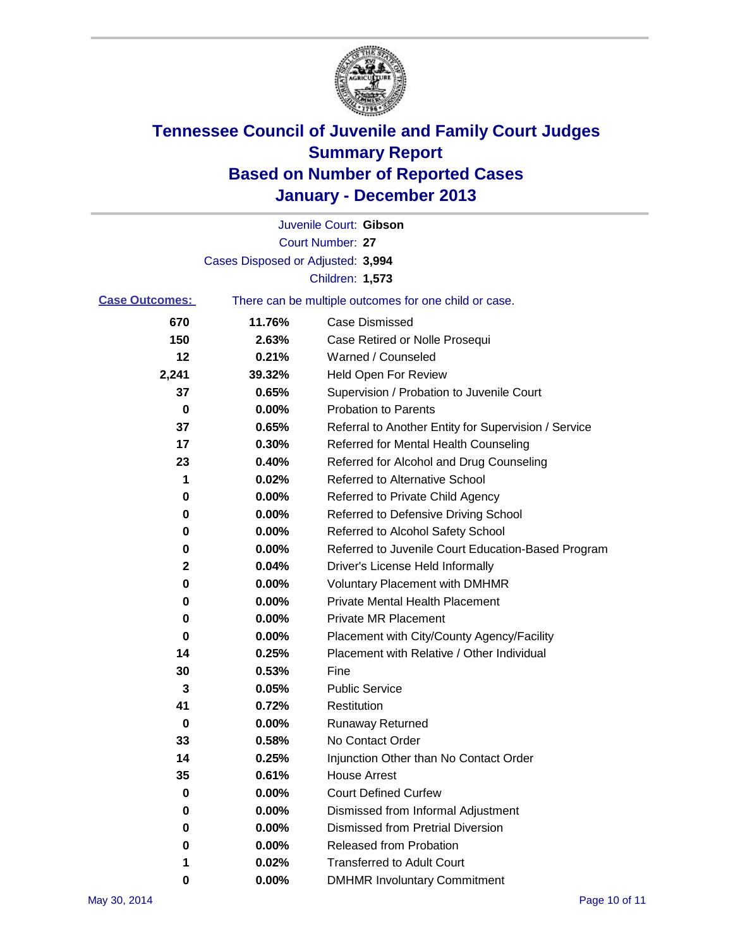

|                       |                                   | Juvenile Court: Gibson                                |
|-----------------------|-----------------------------------|-------------------------------------------------------|
|                       |                                   | Court Number: 27                                      |
|                       | Cases Disposed or Adjusted: 3,994 |                                                       |
|                       |                                   | Children: 1,573                                       |
| <b>Case Outcomes:</b> |                                   | There can be multiple outcomes for one child or case. |
| 670                   | 11.76%                            | <b>Case Dismissed</b>                                 |
| 150                   | 2.63%                             | Case Retired or Nolle Prosequi                        |
| 12                    | 0.21%                             | Warned / Counseled                                    |
| 2,241                 | 39.32%                            | <b>Held Open For Review</b>                           |
| 37                    | 0.65%                             | Supervision / Probation to Juvenile Court             |
| 0                     | 0.00%                             | <b>Probation to Parents</b>                           |
| 37                    | 0.65%                             | Referral to Another Entity for Supervision / Service  |
| 17                    | 0.30%                             | Referred for Mental Health Counseling                 |
| 23                    | 0.40%                             | Referred for Alcohol and Drug Counseling              |
| 1                     | 0.02%                             | <b>Referred to Alternative School</b>                 |
| 0                     | 0.00%                             | Referred to Private Child Agency                      |
| 0                     | 0.00%                             | Referred to Defensive Driving School                  |
| 0                     | 0.00%                             | Referred to Alcohol Safety School                     |
| 0                     | 0.00%                             | Referred to Juvenile Court Education-Based Program    |
| 2                     | 0.04%                             | Driver's License Held Informally                      |
| 0                     | 0.00%                             | <b>Voluntary Placement with DMHMR</b>                 |
| 0                     | 0.00%                             | <b>Private Mental Health Placement</b>                |
| 0                     | 0.00%                             | <b>Private MR Placement</b>                           |
| 0                     | 0.00%                             | Placement with City/County Agency/Facility            |
| 14                    | 0.25%                             | Placement with Relative / Other Individual            |
| 30                    | 0.53%                             | Fine                                                  |
| 3                     | 0.05%                             | <b>Public Service</b>                                 |
| 41                    | 0.72%                             | Restitution                                           |
| 0                     | 0.00%                             | <b>Runaway Returned</b>                               |
| 33                    | 0.58%                             | No Contact Order                                      |
| 14                    | 0.25%                             | Injunction Other than No Contact Order                |
| 35                    | 0.61%                             | <b>House Arrest</b>                                   |
| 0                     | 0.00%                             | <b>Court Defined Curfew</b>                           |
| 0                     | 0.00%                             | Dismissed from Informal Adjustment                    |
| 0                     | 0.00%                             | <b>Dismissed from Pretrial Diversion</b>              |
| 0                     | 0.00%                             | <b>Released from Probation</b>                        |
|                       | 0.02%                             | <b>Transferred to Adult Court</b>                     |
| 0                     | $0.00\%$                          | <b>DMHMR Involuntary Commitment</b>                   |